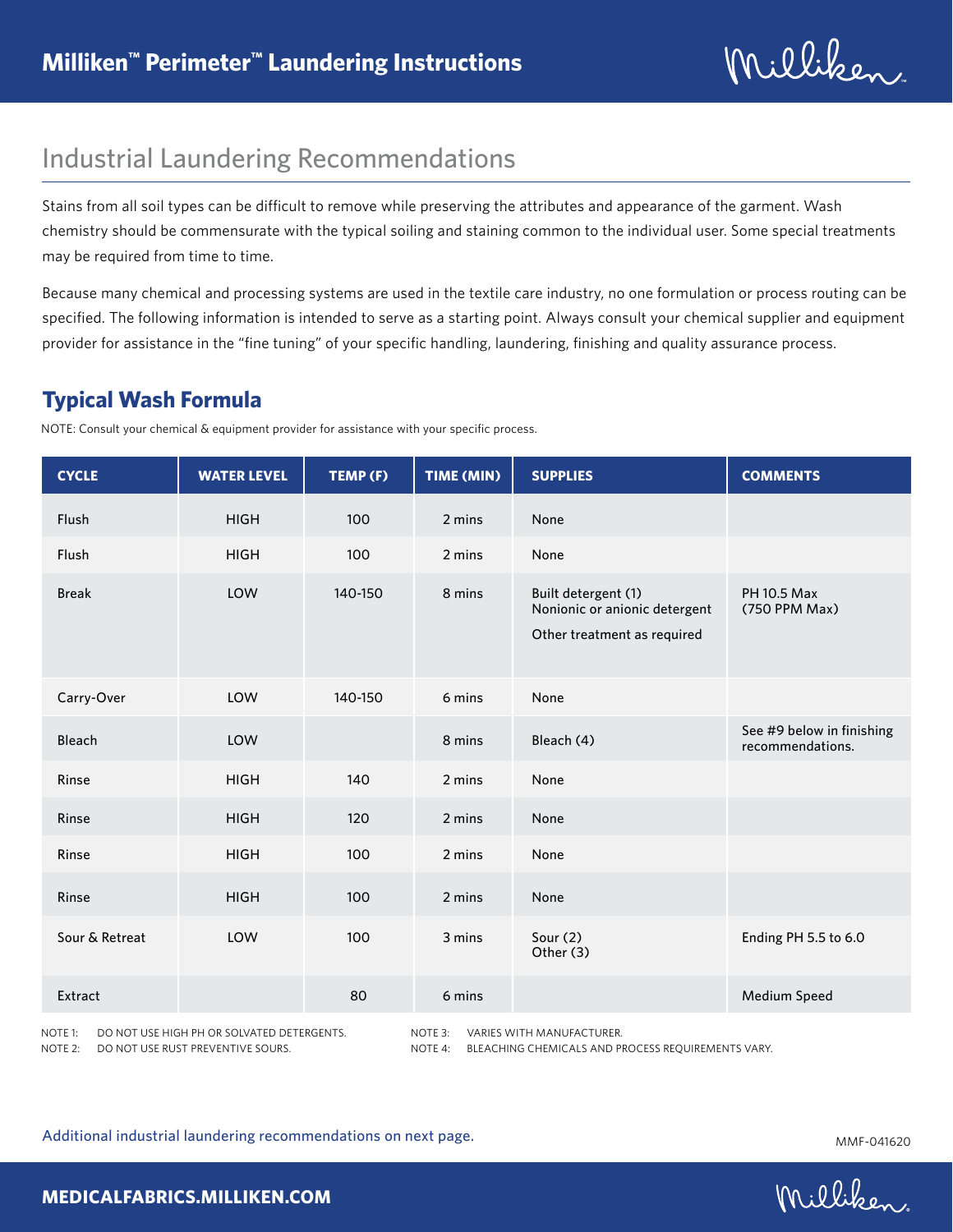Milliken

# Industrial Laundering Recommendations

Stains from all soil types can be difficult to remove while preserving the attributes and appearance of the garment. Wash chemistry should be commensurate with the typical soiling and staining common to the individual user. Some special treatments may be required from time to time.

Because many chemical and processing systems are used in the textile care industry, no one formulation or process routing can be specified. The following information is intended to serve as a starting point. Always consult your chemical supplier and equipment provider for assistance in the "fine tuning" of your specific handling, laundering, finishing and quality assurance process.

### **Typical Wash Formula**

NOTE: Consult your chemical & equipment provider for assistance with your specific process.

| <b>CYCLE</b>                                                                                                                                                                                                     | <b>WATER LEVEL</b> | TEMP (F) | TIME (MIN) | <b>SUPPLIES</b>                                                                     | <b>COMMENTS</b>                               |
|------------------------------------------------------------------------------------------------------------------------------------------------------------------------------------------------------------------|--------------------|----------|------------|-------------------------------------------------------------------------------------|-----------------------------------------------|
| Flush                                                                                                                                                                                                            | <b>HIGH</b>        | 100      | 2 mins     | None                                                                                |                                               |
| <b>Flush</b>                                                                                                                                                                                                     | <b>HIGH</b>        | 100      | 2 mins     | None                                                                                |                                               |
| <b>Break</b>                                                                                                                                                                                                     | LOW                | 140-150  | 8 mins     | Built detergent (1)<br>Nonionic or anionic detergent<br>Other treatment as required | <b>PH 10.5 Max</b><br>(750 PPM Max)           |
| Carry-Over                                                                                                                                                                                                       | LOW                | 140-150  | 6 mins     | None                                                                                |                                               |
| Bleach                                                                                                                                                                                                           | LOW                |          | 8 mins     | Bleach (4)                                                                          | See #9 below in finishing<br>recommendations. |
| Rinse                                                                                                                                                                                                            | <b>HIGH</b>        | 140      | 2 mins     | None                                                                                |                                               |
| Rinse                                                                                                                                                                                                            | <b>HIGH</b>        | 120      | 2 mins     | None                                                                                |                                               |
| Rinse                                                                                                                                                                                                            | <b>HIGH</b>        | 100      | 2 mins     | None                                                                                |                                               |
| Rinse                                                                                                                                                                                                            | <b>HIGH</b>        | 100      | 2 mins     | None                                                                                |                                               |
| Sour & Retreat                                                                                                                                                                                                   | LOW                | 100      | 3 mins     | Sour $(2)$<br>Other (3)                                                             | Ending PH 5.5 to 6.0                          |
| Extract                                                                                                                                                                                                          |                    | 80       | 6 mins     |                                                                                     | Medium Speed                                  |
| NOTE 3:<br>NOTE 1:<br>DO NOT USE HIGH PH OR SOLVATED DETERGENTS.<br>VARIES WITH MANUFACTURER.<br>NOTE $2:$<br>DO NOT USE RUST PREVENTIVE SOURS.<br>NOTE 4:<br>BLEACHING CHEMICALS AND PROCESS REOUIREMENTS VARY. |                    |          |            |                                                                                     |                                               |

Additional industrial laundering recommendations on next page.<br>MMF-041620

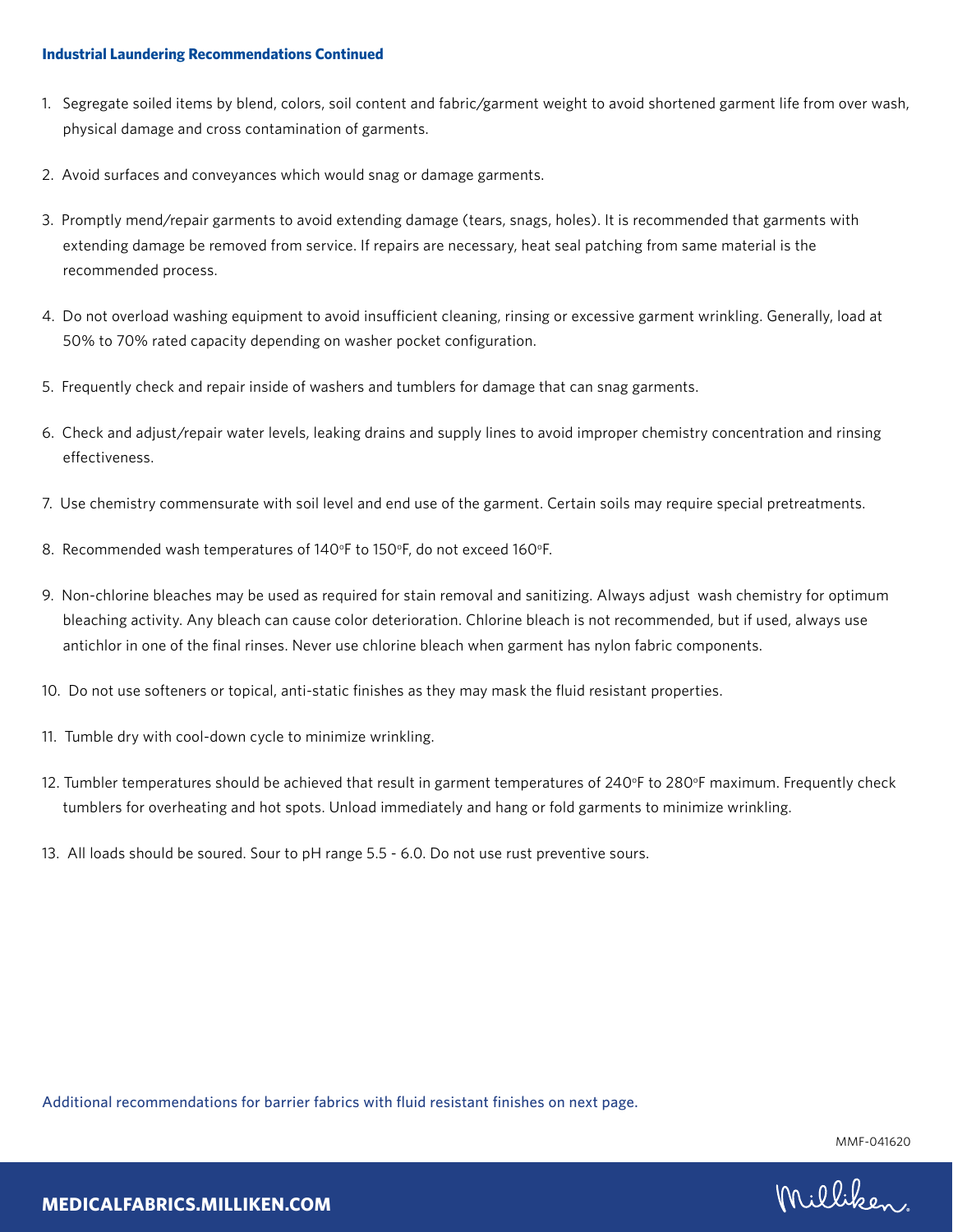#### **Industrial Laundering Recommendations Continued**

- 1. Segregate soiled items by blend, colors, soil content and fabric/garment weight to avoid shortened garment life from over wash, physical damage and cross contamination of garments.
- 2. Avoid surfaces and conveyances which would snag or damage garments.
- 3. Promptly mend/repair garments to avoid extending damage (tears, snags, holes). It is recommended that garments with extending damage be removed from service. If repairs are necessary, heat seal patching from same material is the recommended process.
- 4. Do not overload washing equipment to avoid insufficient cleaning, rinsing or excessive garment wrinkling. Generally, load at 50% to 70% rated capacity depending on washer pocket configuration.
- 5. Frequently check and repair inside of washers and tumblers for damage that can snag garments.
- 6. Check and adjust/repair water levels, leaking drains and supply lines to avoid improper chemistry concentration and rinsing effectiveness.
- 7. Use chemistry commensurate with soil level and end use of the garment. Certain soils may require special pretreatments.
- 8. Recommended wash temperatures of 140°F to 150°F, do not exceed 160°F.
- 9. Non-chlorine bleaches may be used as required for stain removal and sanitizing. Always adjust wash chemistry for optimum bleaching activity. Any bleach can cause color deterioration. Chlorine bleach is not recommended, but if used, always use antichlor in one of the final rinses. Never use chlorine bleach when garment has nylon fabric components.
- 10. Do not use softeners or topical, anti-static finishes as they may mask the fluid resistant properties.
- 11. Tumble dry with cool-down cycle to minimize wrinkling.
- 12. Tumbler temperatures should be achieved that result in garment temperatures of 240°F to 280°F maximum. Frequently check tumblers for overheating and hot spots. Unload immediately and hang or fold garments to minimize wrinkling.
- 13. All loads should be soured. Sour to pH range 5.5 6.0. Do not use rust preventive sours.

Additional recommendations for barrier fabrics with fluid resistant finishes on next page.

MMF-041620